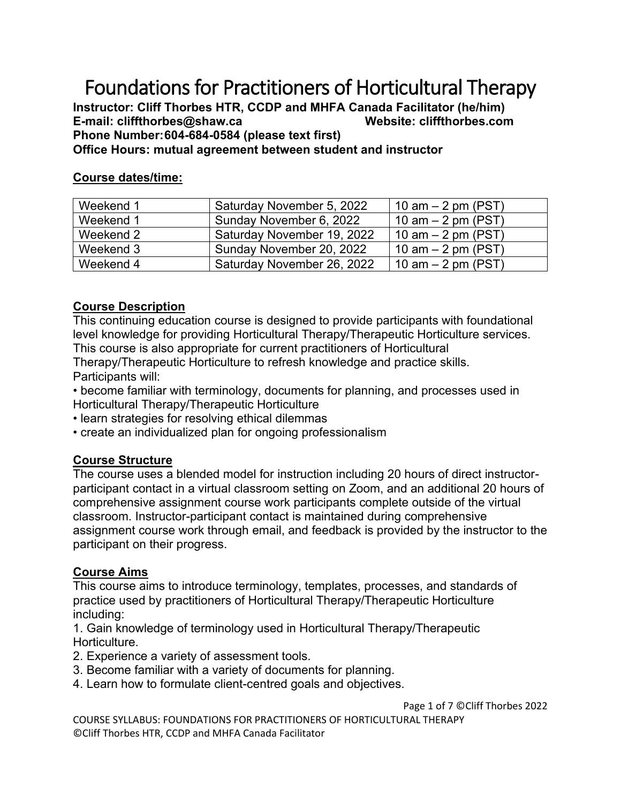# Foundations for Practitioners of Horticultural Therapy

**Instructor: Cliff Thorbes HTR, CCDP and MHFA Canada Facilitator (he/him) E-mail: cliffthorbes@shaw.ca Website: cliffthorbes.com Phone Number:604-684-0584 (please text first)**

## **Office Hours: mutual agreement between student and instructor**

#### **Course dates/time:**

| Weekend 1 | Saturday November 5, 2022  | 10 am $-$ 2 pm (PST) |
|-----------|----------------------------|----------------------|
| Weekend 1 | Sunday November 6, 2022    | 10 $am - 2 pm (PST)$ |
| Weekend 2 | Saturday November 19, 2022 | 10 am $-$ 2 pm (PST) |
| Weekend 3 | Sunday November 20, 2022   | 10 am $-$ 2 pm (PST) |
| Weekend 4 | Saturday November 26, 2022 | 10 am $-$ 2 pm (PST) |

#### **Course Description**

This continuing education course is designed to provide participants with foundational level knowledge for providing Horticultural Therapy/Therapeutic Horticulture services. This course is also appropriate for current practitioners of Horticultural

Therapy/Therapeutic Horticulture to refresh knowledge and practice skills. Participants will:

• become familiar with terminology, documents for planning, and processes used in Horticultural Therapy/Therapeutic Horticulture

- learn strategies for resolving ethical dilemmas
- create an individualized plan for ongoing professionalism

#### **Course Structure**

The course uses a blended model for instruction including 20 hours of direct instructorparticipant contact in a virtual classroom setting on Zoom, and an additional 20 hours of comprehensive assignment course work participants complete outside of the virtual classroom. Instructor-participant contact is maintained during comprehensive assignment course work through email, and feedback is provided by the instructor to the participant on their progress.

#### **Course Aims**

This course aims to introduce terminology, templates, processes, and standards of practice used by practitioners of Horticultural Therapy/Therapeutic Horticulture including:

1. Gain knowledge of terminology used in Horticultural Therapy/Therapeutic Horticulture.

- 2. Experience a variety of assessment tools.
- 3. Become familiar with a variety of documents for planning.
- 4. Learn how to formulate client-centred goals and objectives.

Page 1 of 7 ©Cliff Thorbes 2022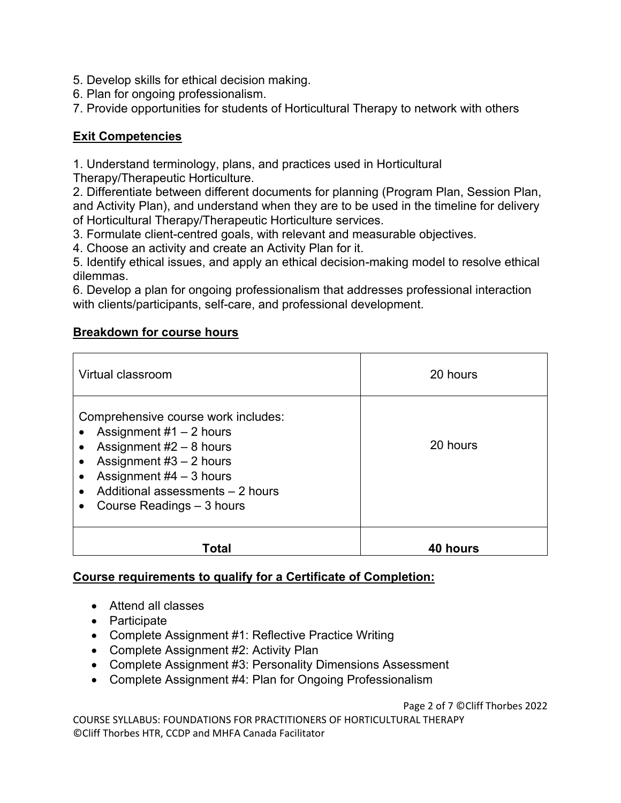5. Develop skills for ethical decision making.

6. Plan for ongoing professionalism.

7. Provide opportunities for students of Horticultural Therapy to network with others

## **Exit Competencies**

1. Understand terminology, plans, and practices used in Horticultural

Therapy/Therapeutic Horticulture.

2. Differentiate between different documents for planning (Program Plan, Session Plan, and Activity Plan), and understand when they are to be used in the timeline for delivery of Horticultural Therapy/Therapeutic Horticulture services.

3. Formulate client-centred goals, with relevant and measurable objectives.

4. Choose an activity and create an Activity Plan for it.

5. Identify ethical issues, and apply an ethical decision-making model to resolve ethical dilemmas.

6. Develop a plan for ongoing professionalism that addresses professional interaction with clients/participants, self-care, and professional development.

# **Breakdown for course hours**

| Virtual classroom                                                                                                                                                                                                        | 20 hours        |  |
|--------------------------------------------------------------------------------------------------------------------------------------------------------------------------------------------------------------------------|-----------------|--|
| Comprehensive course work includes:<br>Assignment $#1 - 2$ hours<br>Assignment $#2 - 8$ hours<br>Assignment $#3 - 2$ hours<br>Assignment $#4 - 3$ hours<br>Additional assessments - 2 hours<br>Course Readings - 3 hours | 20 hours        |  |
| Total                                                                                                                                                                                                                    | <b>40 hours</b> |  |

# **Course requirements to qualify for a Certificate of Completion:**

- Attend all classes
- Participate
- Complete Assignment #1: Reflective Practice Writing
- Complete Assignment #2: Activity Plan
- Complete Assignment #3: Personality Dimensions Assessment
- Complete Assignment #4: Plan for Ongoing Professionalism

Page 2 of 7 ©Cliff Thorbes 2022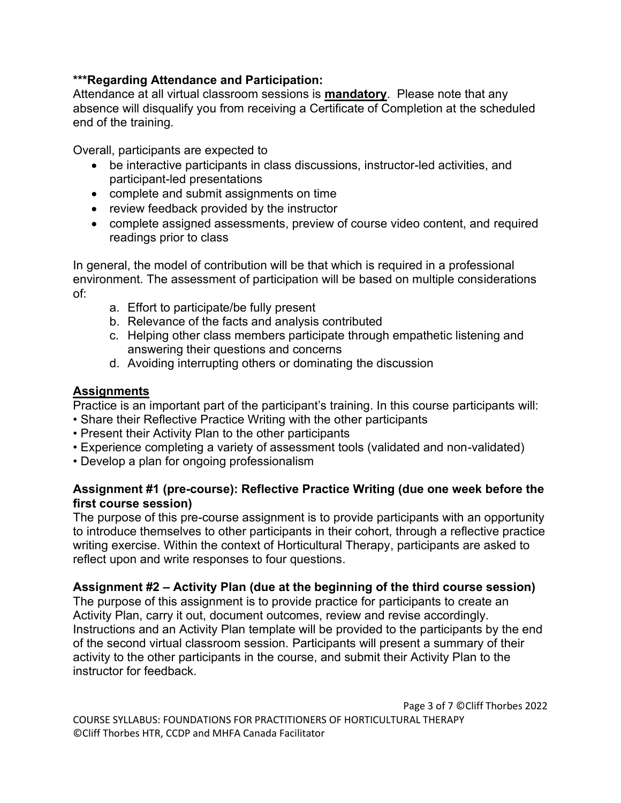## **\*\*\*Regarding Attendance and Participation:**

Attendance at all virtual classroom sessions is **mandatory**. Please note that any absence will disqualify you from receiving a Certificate of Completion at the scheduled end of the training.

Overall, participants are expected to

- be interactive participants in class discussions, instructor-led activities, and participant-led presentations
- complete and submit assignments on time
- review feedback provided by the instructor
- complete assigned assessments, preview of course video content, and required readings prior to class

In general, the model of contribution will be that which is required in a professional environment. The assessment of participation will be based on multiple considerations of:

- a. Effort to participate/be fully present
- b. Relevance of the facts and analysis contributed
- c. Helping other class members participate through empathetic listening and answering their questions and concerns
- d. Avoiding interrupting others or dominating the discussion

# **Assignments**

Practice is an important part of the participant's training. In this course participants will:

- Share their Reflective Practice Writing with the other participants
- Present their Activity Plan to the other participants
- Experience completing a variety of assessment tools (validated and non-validated)
- Develop a plan for ongoing professionalism

## **Assignment #1 (pre-course): Reflective Practice Writing (due one week before the first course session)**

The purpose of this pre-course assignment is to provide participants with an opportunity to introduce themselves to other participants in their cohort, through a reflective practice writing exercise. Within the context of Horticultural Therapy, participants are asked to reflect upon and write responses to four questions.

# **Assignment #2 – Activity Plan (due at the beginning of the third course session)**

The purpose of this assignment is to provide practice for participants to create an Activity Plan, carry it out, document outcomes, review and revise accordingly. Instructions and an Activity Plan template will be provided to the participants by the end of the second virtual classroom session. Participants will present a summary of their activity to the other participants in the course, and submit their Activity Plan to the instructor for feedback.

Page 3 of 7 ©Cliff Thorbes 2022 COURSE SYLLABUS: FOUNDATIONS FOR PRACTITIONERS OF HORTICULTURAL THERAPY ©Cliff Thorbes HTR, CCDP and MHFA Canada Facilitator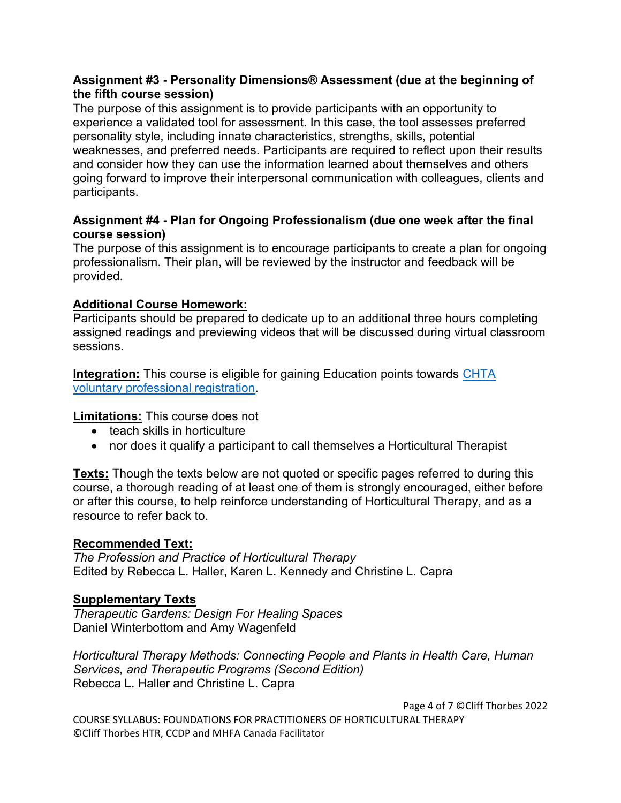## **Assignment #3 - Personality Dimensions® Assessment (due at the beginning of the fifth course session)**

The purpose of this assignment is to provide participants with an opportunity to experience a validated tool for assessment. In this case, the tool assesses preferred personality style, including innate characteristics, strengths, skills, potential weaknesses, and preferred needs. Participants are required to reflect upon their results and consider how they can use the information learned about themselves and others going forward to improve their interpersonal communication with colleagues, clients and participants.

# **Assignment #4 - Plan for Ongoing Professionalism (due one week after the final course session)**

The purpose of this assignment is to encourage participants to create a plan for ongoing professionalism. Their plan, will be reviewed by the instructor and feedback will be provided.

# **Additional Course Homework:**

Participants should be prepared to dedicate up to an additional three hours completing assigned readings and previewing videos that will be discussed during virtual classroom sessions.

**Integration:** This course is eligible for gaining Education points towards CHTA [voluntary professional registration.](https://www.chta.ca/professional-registration)

**Limitations:** This course does not

- teach skills in horticulture
- nor does it qualify a participant to call themselves a Horticultural Therapist

**Texts:** Though the texts below are not quoted or specific pages referred to during this course, a thorough reading of at least one of them is strongly encouraged, either before or after this course, to help reinforce understanding of Horticultural Therapy, and as a resource to refer back to.

# **Recommended Text:**

*The Profession and Practice of Horticultural Therapy* Edited by Rebecca L. Haller, Karen L. Kennedy and Christine L. Capra

# **Supplementary Texts**

*Therapeutic Gardens: Design For Healing Spaces* Daniel Winterbottom and Amy Wagenfeld

*Horticultural Therapy Methods: Connecting People and Plants in Health Care, Human Services, and Therapeutic Programs (Second Edition)*  Rebecca L. Haller and Christine L. Capra

Page 4 of 7 ©Cliff Thorbes 2022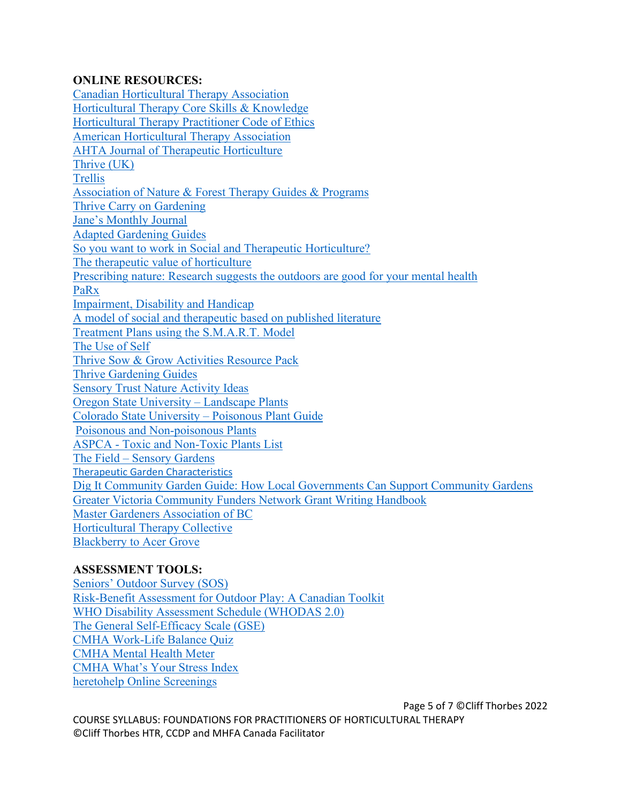## **ONLINE RESOURCES:**

Canadian Horticultural Therapy Association Horticultural Therapy Core Skills & Knowledge Horticultural Therapy Practitioner Code of Ethics American Horticultural Therapy Association AHTA Journal of Therapeutic Horticulture Thrive (UK) **Trellis** Association of Nature & Forest Therapy Guides & Programs Thrive Carry on Gardening Jane's Monthly Journal Adapted Gardening Guides So you want to work in Social and Therapeutic Horticulture? The therapeutic value of horticulture Prescribing nature: Research suggests the outdoors are good for your mental health PaRx Impairment, Disability and Handicap A model of social and therapeutic based on published literature Treatment Plans using the S.M.A.R.T. Model The Use of Self Thrive Sow & Grow Activities Resource Pack Thrive Gardening Guides Sensory Trust Nature Activity Ideas Oregon State University – Landscape Plants Colorado State University – Poisonous Plant Guide Poisonous and Non-poisonous Plants ASPCA - Toxic and Non-Toxic Plants List The Field – Sensory Gardens Therapeutic Garden Characteristics Dig It Community Garden Guide: How Local Governments Can Support Community Gardens Greater Victoria Community Funders Network Grant Writing Handbook Master Gardeners Association of BC Horticultural Therapy Collective Blackberry to Acer Grove

# **ASSESSMENT TOOLS:**

Seniors' Outdoor Survey (SOS) Risk-Benefit Assessment for Outdoor Play: A Canadian Toolkit WHO Disability Assessment Schedule (WHODAS 2.0) The General Self-Efficacy Scale (GSE) CMHA Work-Life Balance Quiz CMHA Mental Health Meter CMHA What's Your Stress Index heretohelp Online Screenings

Page 5 of 7 ©Cliff Thorbes 2022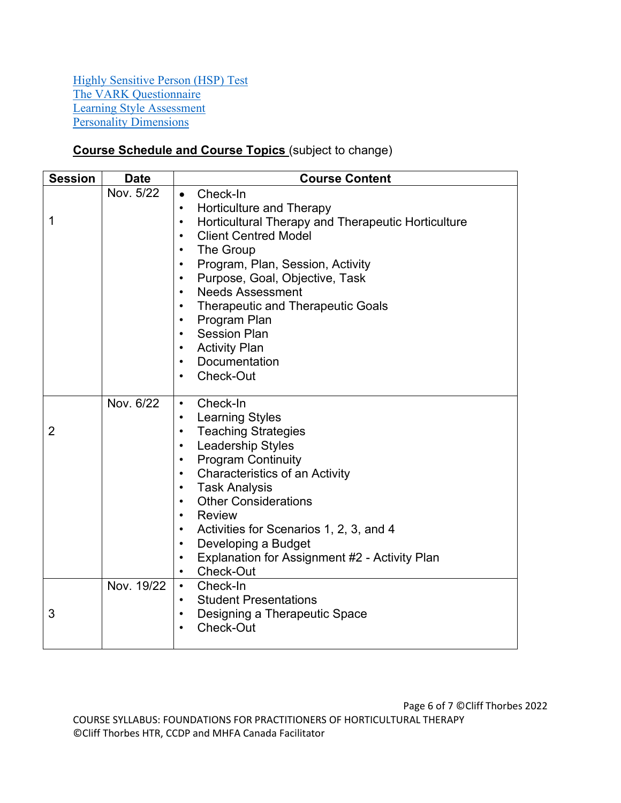Highly Sensitive Person (HSP) Test The VARK Questionnaire Learning Style Assessment Personality Dimensions

# **Course Schedule and Course Topics** (subject to change)

| <b>Session</b> | <b>Date</b> | <b>Course Content</b>                                                                                                                                                                                                                                                                                                                                                                                                                                                                                                                                                  |  |
|----------------|-------------|------------------------------------------------------------------------------------------------------------------------------------------------------------------------------------------------------------------------------------------------------------------------------------------------------------------------------------------------------------------------------------------------------------------------------------------------------------------------------------------------------------------------------------------------------------------------|--|
| 1              | Nov. 5/22   | Check-In<br>$\bullet$<br>Horticulture and Therapy<br>$\bullet$<br>Horticultural Therapy and Therapeutic Horticulture<br>$\bullet$<br><b>Client Centred Model</b><br>$\bullet$<br>The Group<br>$\bullet$<br>Program, Plan, Session, Activity<br>$\bullet$<br>Purpose, Goal, Objective, Task<br>$\bullet$<br><b>Needs Assessment</b><br>$\bullet$<br><b>Therapeutic and Therapeutic Goals</b><br>$\bullet$<br>Program Plan<br>$\bullet$<br><b>Session Plan</b><br>$\bullet$<br><b>Activity Plan</b><br>$\bullet$<br>Documentation<br>$\bullet$<br>Check-Out<br>$\bullet$ |  |
| $\overline{2}$ | Nov. 6/22   | Check-In<br>$\bullet$<br><b>Learning Styles</b><br>$\bullet$<br><b>Teaching Strategies</b><br>$\bullet$<br><b>Leadership Styles</b><br>$\bullet$<br><b>Program Continuity</b><br>$\bullet$<br><b>Characteristics of an Activity</b><br>$\bullet$<br><b>Task Analysis</b><br>$\bullet$<br><b>Other Considerations</b><br>$\bullet$<br><b>Review</b><br>$\bullet$<br>Activities for Scenarios 1, 2, 3, and 4<br>$\bullet$<br>Developing a Budget<br>$\bullet$<br>Explanation for Assignment #2 - Activity Plan<br>$\bullet$<br>Check-Out<br>$\bullet$                    |  |
| 3              | Nov. 19/22  | Check-In<br>$\bullet$<br><b>Student Presentations</b><br>$\bullet$<br>Designing a Therapeutic Space<br>$\bullet$<br>Check-Out                                                                                                                                                                                                                                                                                                                                                                                                                                          |  |